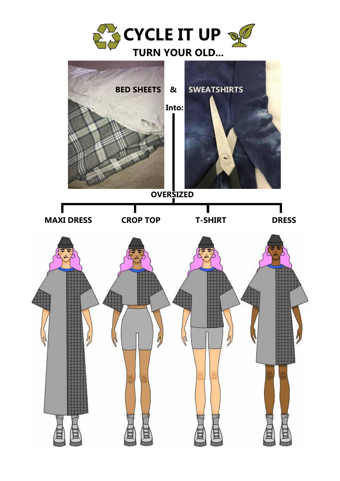

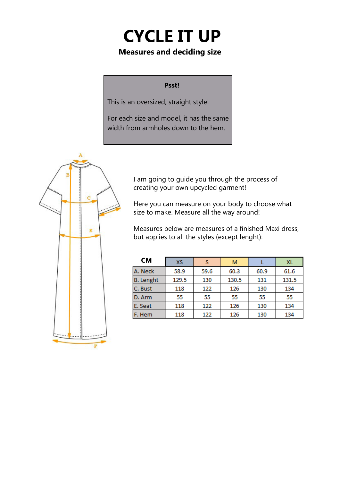# **CYCLE IT UP**

#### **Measures and deciding size**

#### **Psst!**

This is an oversized, straight style!

For each size and model, it has the same width from armholes down to the hem.



I am going to guide you through the process of creating your own upcycled garment!

Here you can measure on your body to choose what size to make. Measure all the way around!

Measures below are measures of a finished Maxi dress, but applies to all the styles (except lenght):

| <b>CM</b>        | XS    | s    | М     |      | <b>XL</b> |
|------------------|-------|------|-------|------|-----------|
| A. Neck          | 58.9  | 59.6 | 60.3  | 60.9 | 61.6      |
| <b>B.</b> Lenght | 129.5 | 130  | 130.5 | 131  | 131.5     |
| C. Bust          | 118   | 122  | 126   | 130  | 134       |
| D. Arm           | 55    | 55   | 55    | 55   | 55        |
| E. Seat          | 118   | 122  | 126   | 130  | 134       |
| F. Hem           | 118   | 122  | 126   | 130  | 134       |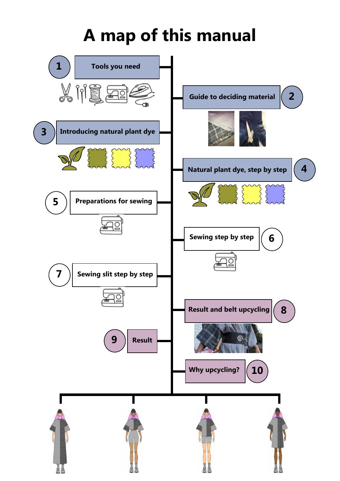## **A map of this manual**

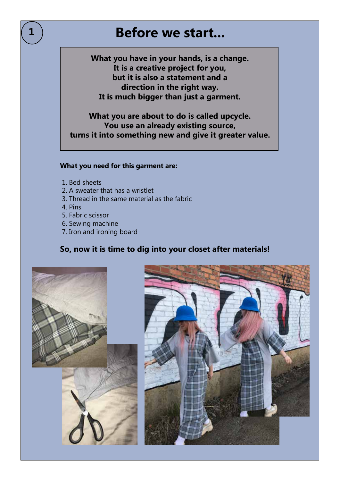## **Before we start...**

**What you have in your hands, is a change. It is a creative project for you, but it is also a statement and a direction in the right way. It is much bigger than just a garment.** 

**What you are about to do is called upcycle. You use an already existing source, turns it into something new and give it greater value.** 

#### **What you need for this garment are:**

- 1. Bed sheets
- 2. A sweater that has a wristlet
- 3. Thread in the same material as the fabric
- 4. Pins
- 5. Fabric scissor
- 6. Sewing machine
- 7. Iron and ironing board

#### **So, now it is time to dig into your closet after materials!**



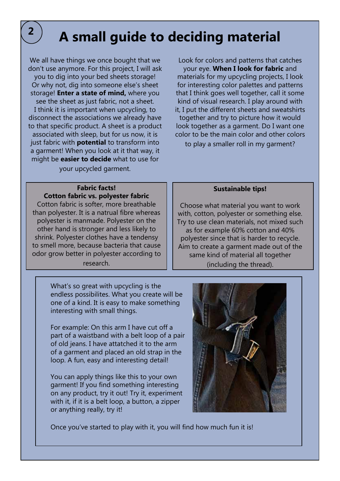## **A small guide to deciding material**

We all have things we once bought that we don't use anymore. For this project, I will ask you to dig into your bed sheets storage! Or why not, dig into someone else's sheet storage! **Enter a state of mind,** where you see the sheet as just fabric, not a sheet. I think it is important when upcycling, to disconnect the associations we already have to that specific product. A sheet is a product associated with sleep, but for us now, it is just fabric with **potential** to transform into a garment! When you look at it that way, it might be **easier to decide** what to use for your upcycled garment.

Look for colors and patterns that catches your eye. **When I look for fabric** and materials for my upcycling projects, I look for interesting color palettes and patterns that I think goes well together, call it some kind of visual research. I play around with it, I put the different sheets and sweatshirts together and try to picture how it would look together as a garment. Do I want one color to be the main color and other colors

to play a smaller roll in my garment?

#### **Fabric facts! Cotton fabric vs. polyester fabric**

Cotton fabric is softer, more breathable than polyester. It is a natrual fibre whereas polyester is manmade. Polyester on the other hand is stronger and less likely to shrink. Polyester clothes have a tendensy to smell more, because bacteria that cause odor grow better in polyester according to research.

> What's so great with upcycling is the endless possibilites. What you create will be one of a kind. It is easy to make something interesting with small things.

For example: On this arm I have cut off a part of a waistband with a belt loop of a pair of old jeans. I have attatched it to the arm of a garment and placed an old strap in the loop. A fun, easy and interesting detail!

You can apply things like this to your own garment! If you find something interesting on any product, try it out! Try it, experiment with it, if it is a belt loop, a button, a zipper or anything really, try it!

#### **Sustainable tips!**

Choose what material you want to work with, cotton, polyester or something else. Try to use clean materials, not mixed such as for example 60% cotton and 40% polyester since that is harder to recycle. Aim to create a garment made out of the same kind of material all together (including the thread).



Once you've started to play with it, you will find how much fun it is!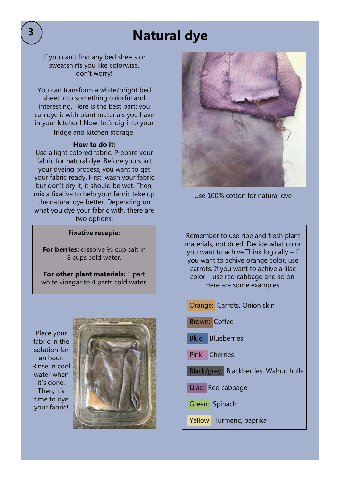## **Natural dye**

If you can't find any bed sheets or sweatshirts you like colorwise, don't worry!

You can transform a white/bright bed sheet into something colorful and interesting. Here is the best part: you can dye it with plant materials you have in your kitchen! Now, let's dig into your fridge and kitchen storage!

#### **How to do it:**

Use a light colored fabric. Prepare your fabric for natural dye. Before you start your dyeing process, you want to get your fabric ready. First, wash your fabric but don't dry it, it should be wet. Then, mix a fixative to help your fabric take up the natural dye better. Depending on what you dye your fabric with, there are two options:

#### **Fixative recepie:**

**For berries:** dissolve 1/2 cup salt in 8 cups cold water.

**For other plant materials:** 1 part white vinegar to 4 parts cold water.

Place your fabric in the solution for an hour. Rinse in cool water when it's done. Then, it's time to dye your fabric!





Use 100% cotton for natural dye

Remember to use ripe and fresh plant materials, not dried. Decide what color you want to achive.Think logically – if you want to achive orange color, use carrots. If you want to achive a lilac color – use red cabbage and so on. Here are some examples:

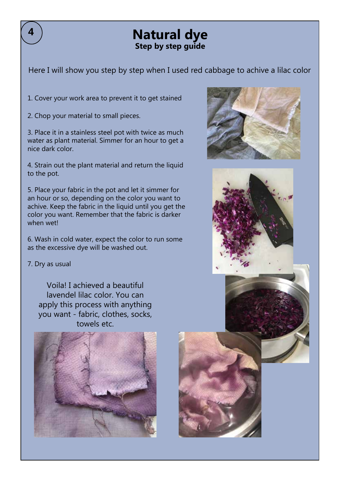## **Natural dye Step by step guide**

Here I will show you step by step when I used red cabbage to achive a lilac color

1. Cover your work area to prevent it to get stained

2. Chop your material to small pieces.

3. Place it in a stainless steel pot with twice as much water as plant material. Simmer for an hour to get a nice dark color.

4. Strain out the plant material and return the liquid to the pot.

5. Place your fabric in the pot and let it simmer for an hour or so, depending on the color you want to achive. Keep the fabric in the liquid until you get the color you want. Remember that the fabric is darker when wetl

6. Wash in cold water, expect the color to run some as the excessive dye will be washed out.

#### 7. Dry as usual

Voila! I achieved a beautiful lavendel lilac color. You can apply this process with anything you want - fabric, clothes, socks, towels etc.







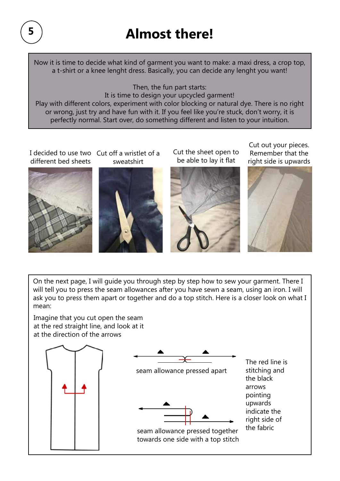## **Almost there!**

Now it is time to decide what kind of garment you want to make: a maxi dress, a crop top, a t-shirt or a knee lenght dress. Basically, you can decide any lenght you want!

Then, the fun part starts:

It is time to design your upcycled garment! Play with different colors, experiment with color blocking or natural dye. There is no right or wrong, just try and have fun with it. If you feel like you're stuck, don't worry, it is perfectly normal. Start over, do something different and listen to your intuition.

I decided to use two Cut off a wristlet of a different bed sheets





Cut the sheet open to be able to lay it flat



Cut out your pieces. Remember that the right side is upwards



On the next page, I will guide you through step by step how to sew your garment. There I will tell you to press the seam allowances after you have sewn a seam, using an iron. I will ask you to press them apart or together and do a top stitch. Here is a closer look on what I mean:

Imagine that you cut open the seam at the red straight line, and look at it at the direction of the arrows

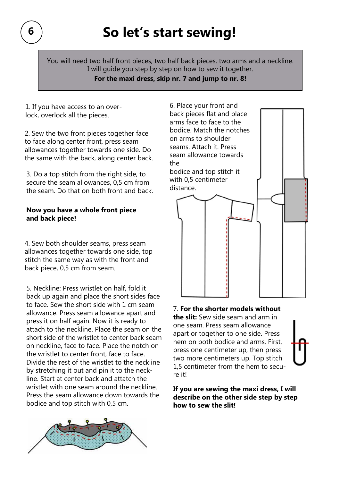You will need two half front pieces, two half back pieces, two arms and a neckline. I will guide you step by step on how to sew it together.

**For the maxi dress, skip nr. 7 and jump to nr. 8!**

1. If you have access to an overlock, overlock all the pieces.

2. Sew the two front pieces together face to face along center front, press seam allowances together towards one side. Do the same with the back, along center back.

3. Do a top stitch from the right side, to secure the seam allowances, 0,5 cm from the seam. Do that on both front and back.

#### **Now you have a whole front piece and back piece!**

4. Sew both shoulder seams, press seam allowances together towards one side, top stitch the same way as with the front and back piece, 0,5 cm from seam.

5. Neckline: Press wristlet on half, fold it back up again and place the short sides face to face. Sew the short side with 1 cm seam allowance. Press seam allowance apart and press it on half again. Now it is ready to attach to the neckline. Place the seam on the short side of the wristlet to center back seam on neckline, face to face. Place the notch on the wristlet to center front, face to face. Divide the rest of the wristlet to the neckline by stretching it out and pin it to the neckline. Start at center back and attatch the wristlet with one seam around the neckline. Press the seam allowance down towards the bodice and top stitch with 0,5 cm.





#### 7. **For the shorter models without**

**the slit:** Sew side seam and arm in one seam. Press seam allowance apart or together to one side. Press hem on both bodice and arms. First, press one centimeter up, then press two more centimeters up. Top stitch 1,5 centimeter from the hem to secure it!

**If you are sewing the maxi dress, I will describe on the other side step by step how to sew the slit!**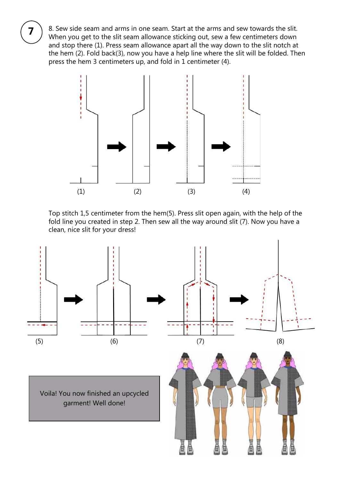8. Sew side seam and arms in one seam. Start at the arms and sew towards the slit. When you get to the slit seam allowance sticking out, sew a few centimeters down and stop there (1). Press seam allowance apart all the way down to the slit notch at the hem (2). Fold back(3), now you have a help line where the slit will be folded. Then press the hem 3 centimeters up, and fold in 1 centimeter (4).



Top stitch 1,5 centimeter from the hem(5). Press slit open again, with the help of the fold line you created in step 2. Then sew all the way around slit (7). Now you have a clean, nice slit for your dress!

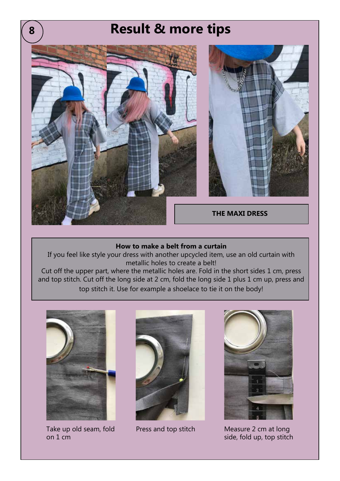# **THE MAXI DRESS 8 Result & more tips**

#### **How to make a belt from a curtain**

If you feel like style your dress with another upcycled item, use an old curtain with metallic holes to create a belt!

Cut off the upper part, where the metallic holes are. Fold in the short sides 1 cm, press and top stitch. Cut off the long side at 2 cm, fold the long side 1 plus 1 cm up, press and top stitch it. Use for example a shoelace to tie it on the body!



Take up old seam, fold on 1 cm





Press and top stitch Measure 2 cm at long side, fold up, top stitch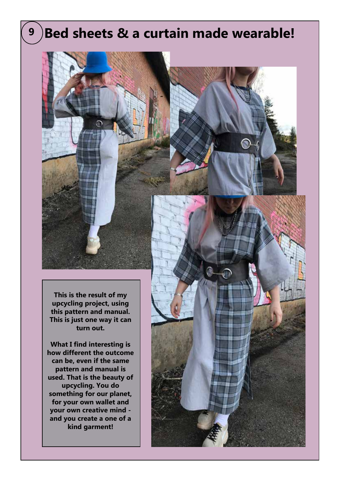## **9 Bed sheets & a curtain made wearable!**

**This is the result of my upcycling project, using this pattern and manual. This is just one way it can turn out.**

**What I find interesting is how different the outcome can be, even if the same pattern and manual is used. That is the beauty of upcycling. You do something for our planet, for your own wallet and your own creative mind and you create a one of a kind garment!**